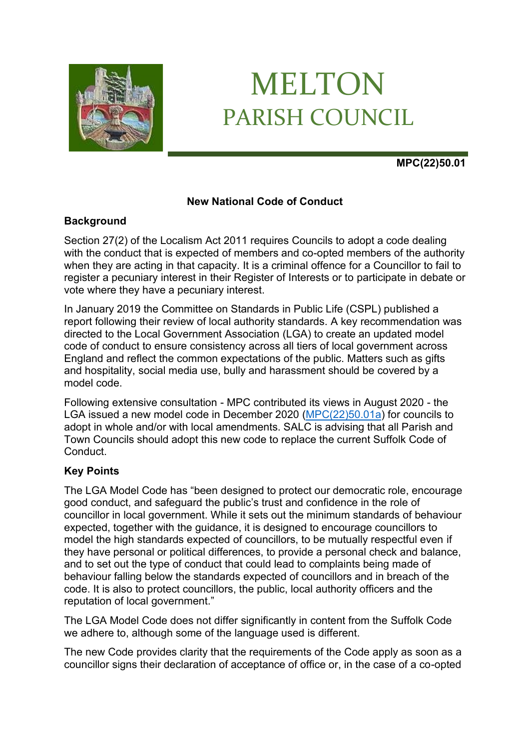

# MELTON PARISH COUNCIL

# **MPC(22)50.01**

# **New National Code of Conduct**

# **Background**

Section 27(2) of the Localism Act 2011 requires Councils to adopt a code dealing with the conduct that is expected of members and co-opted members of the authority when they are acting in that capacity. It is a criminal offence for a Councillor to fail to register a pecuniary interest in their Register of Interests or to participate in debate or vote where they have a pecuniary interest.

In January 2019 the Committee on Standards in Public Life (CSPL) published a report following their review of local authority standards. A key recommendation was directed to the Local Government Association (LGA) to create an updated model code of conduct to ensure consistency across all tiers of local government across England and reflect the common expectations of the public. Matters such as gifts and hospitality, social media use, bully and harassment should be covered by a model code.

Following extensive consultation - MPC contributed its views in August 2020 - the LGA issued a new model code in December 2020 [\(MPC\(22\)50.01a\)](https://melton-suffolk-pc.gov.uk/documents/mpc_22_50_01a-new-model-code-of-conduct/) for councils to adopt in whole and/or with local amendments. SALC is advising that all Parish and Town Councils should adopt this new code to replace the current Suffolk Code of Conduct.

# **Key Points**

The LGA Model Code has "been designed to protect our democratic role, encourage good conduct, and safeguard the public's trust and confidence in the role of councillor in local government. While it sets out the minimum standards of behaviour expected, together with the guidance, it is designed to encourage councillors to model the high standards expected of councillors, to be mutually respectful even if they have personal or political differences, to provide a personal check and balance, and to set out the type of conduct that could lead to complaints being made of behaviour falling below the standards expected of councillors and in breach of the code. It is also to protect councillors, the public, local authority officers and the reputation of local government."

The LGA Model Code does not differ significantly in content from the Suffolk Code we adhere to, although some of the language used is different.

The new Code provides clarity that the requirements of the Code apply as soon as a councillor signs their declaration of acceptance of office or, in the case of a co-opted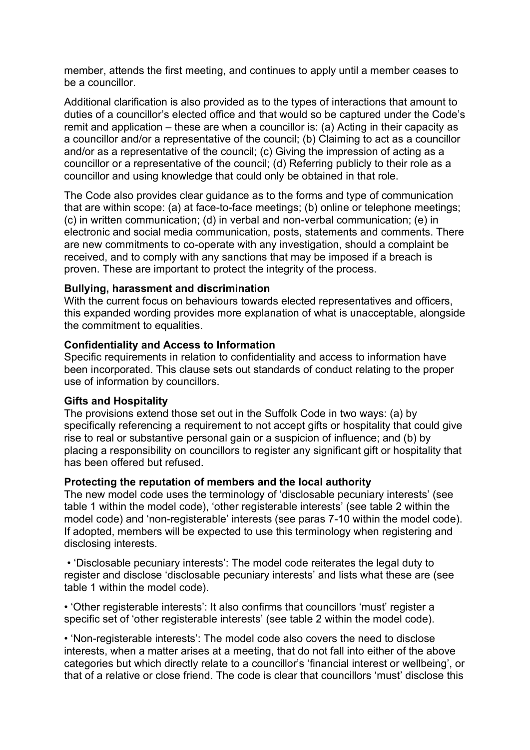member, attends the first meeting, and continues to apply until a member ceases to be a councillor.

Additional clarification is also provided as to the types of interactions that amount to duties of a councillor's elected office and that would so be captured under the Code's remit and application – these are when a councillor is: (a) Acting in their capacity as a councillor and/or a representative of the council; (b) Claiming to act as a councillor and/or as a representative of the council; (c) Giving the impression of acting as a councillor or a representative of the council; (d) Referring publicly to their role as a councillor and using knowledge that could only be obtained in that role.

The Code also provides clear guidance as to the forms and type of communication that are within scope: (a) at face-to-face meetings; (b) online or telephone meetings; (c) in written communication; (d) in verbal and non-verbal communication; (e) in electronic and social media communication, posts, statements and comments. There are new commitments to co-operate with any investigation, should a complaint be received, and to comply with any sanctions that may be imposed if a breach is proven. These are important to protect the integrity of the process.

## **Bullying, harassment and discrimination**

With the current focus on behaviours towards elected representatives and officers, this expanded wording provides more explanation of what is unacceptable, alongside the commitment to equalities.

#### **Confidentiality and Access to Information**

Specific requirements in relation to confidentiality and access to information have been incorporated. This clause sets out standards of conduct relating to the proper use of information by councillors.

#### **Gifts and Hospitality**

The provisions extend those set out in the Suffolk Code in two ways: (a) by specifically referencing a requirement to not accept gifts or hospitality that could give rise to real or substantive personal gain or a suspicion of influence; and (b) by placing a responsibility on councillors to register any significant gift or hospitality that has been offered but refused.

#### **Protecting the reputation of members and the local authority**

The new model code uses the terminology of 'disclosable pecuniary interests' (see table 1 within the model code), 'other registerable interests' (see table 2 within the model code) and 'non-registerable' interests (see paras 7-10 within the model code). If adopted, members will be expected to use this terminology when registering and disclosing interests.

• 'Disclosable pecuniary interests': The model code reiterates the legal duty to register and disclose 'disclosable pecuniary interests' and lists what these are (see table 1 within the model code).

• 'Other registerable interests': It also confirms that councillors 'must' register a specific set of 'other registerable interests' (see table 2 within the model code).

• 'Non-registerable interests': The model code also covers the need to disclose interests, when a matter arises at a meeting, that do not fall into either of the above categories but which directly relate to a councillor's 'financial interest or wellbeing', or that of a relative or close friend. The code is clear that councillors 'must' disclose this